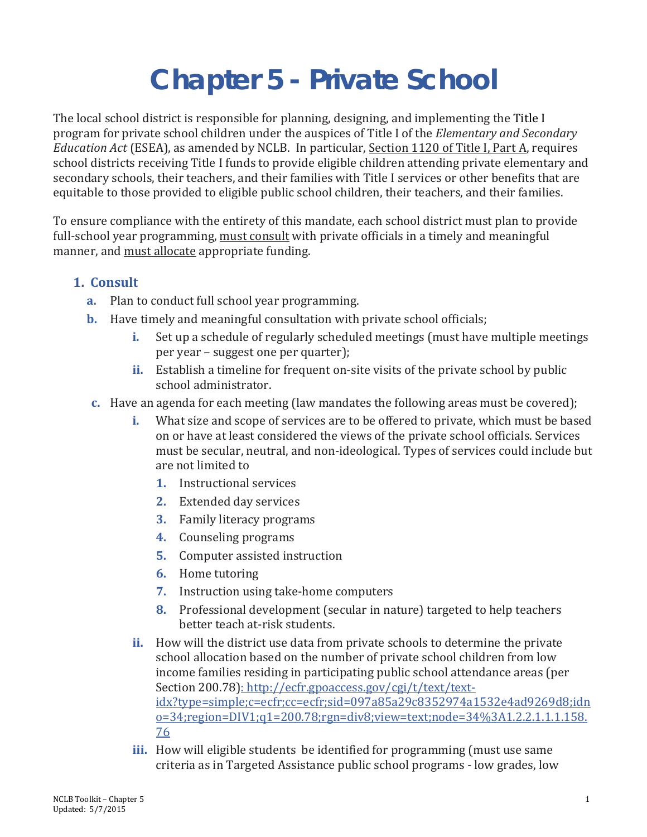## **Chapter 5 - Private School**

The local school district is responsible for planning, designing, and implementing the Title I program for private school children under the auspices of Title I of the *Elementary and Secondary Education Act* (ESEA), as amended by NCLB. In particular, Section 1120 of Title I, Part A, requires school districts receiving Title I funds to provide eligible children attending private elementary and secondary schools, their teachers, and their families with Title I services or other benefits that are equitable to those provided to eligible public school children, their teachers, and their families.

To ensure compliance with the entirety of this mandate, each school district must plan to provide full-school year programming, must consult with private officials in a timely and meaningful manner, and must allocate appropriate funding.

## **1. Consult**

- **a.** Plan to conduct full school year programming.
- **b.** Have timely and meaningful consultation with private school officials;
	- **i.** Set up a schedule of regularly scheduled meetings (must have multiple meetings per year – suggest one per quarter);
	- **ii.** Establish a timeline for frequent on-site visits of the private school by public school administrator.
- **c.** Have an agenda for each meeting (law mandates the following areas must be covered);
	- **i.** What size and scope of services are to be offered to private, which must be based on or have at least considered the views of the private school officials. Services must be secular, neutral, and non-ideological. Types of services could include but are not limited to
		- **1.** Instructional services
		- **2.** Extended day services
		- **3.** Family literacy programs
		- **4.** Counseling programs
		- **5.** Computer assisted instruction
		- **6.** Home tutoring
		- **7.** Instruction using take-home computers
		- **8.** Professional development (secular in nature) targeted to help teachers better teach at-risk students.
	- **ii.** How will the district use data from private schools to determine the private school allocation based on the number of private school children from low income families residing in participating public school attendance areas (per Section 200.78): http://ecfr.gpoaccess.gov/cgi/t/text/textidx?type=simple;c=ecfr;cc=ecfr;sid=097a85a29c8352974a1532e4ad9269d8;idn o=34;region=DIV1;q1=200.78;rgn=div8;view=text;node=34%3A1.2.2.1.1.1.158. 76
	- **iii.** How will eligible students be identified for programming (must use same criteria as in Targeted Assistance public school programs - low grades, low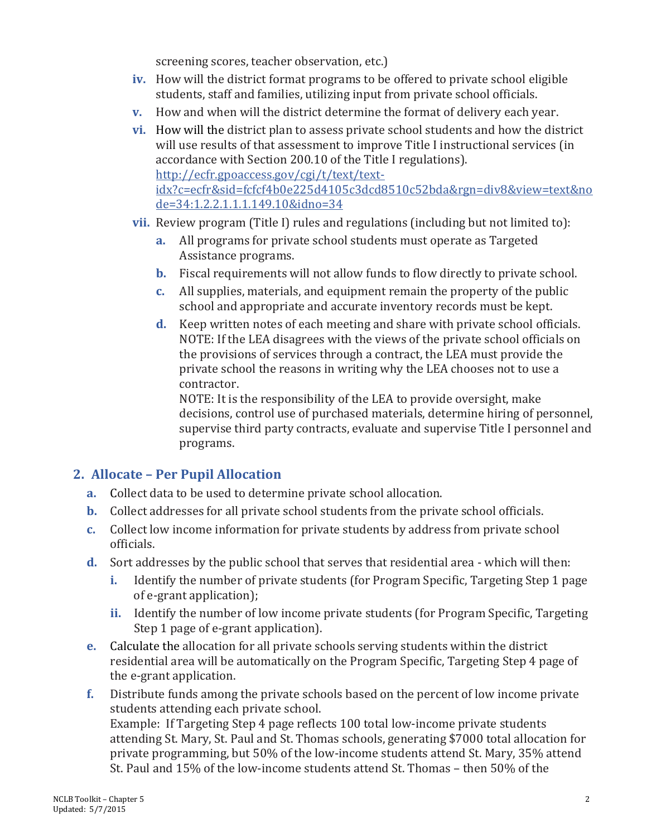screening scores, teacher observation, etc.)

- **iv.** How will the district format programs to be offered to private school eligible students, staff and families, utilizing input from private school officials.
- **v.** How and when will the district determine the format of delivery each year.
- **vi.** How will the district plan to assess private school students and how the district will use results of that assessment to improve Title I instructional services (in accordance with Section 200.10 of the Title I regulations). http://ecfr.gpoaccess.gov/cgi/t/text/textidx?c=ecfr&sid=fcfcf4b0e225d4105c3dcd8510c52bda&rgn=div8&view=text&no de=34:1.2.2.1.1.1.149.10&idno=34
- **vii.** Review program (Title I) rules and regulations (including but not limited to):
	- **a.** All programs for private school students must operate as Targeted Assistance programs.
	- **b.** Fiscal requirements will not allow funds to flow directly to private school.
	- **c.** All supplies, materials, and equipment remain the property of the public school and appropriate and accurate inventory records must be kept.
	- **d.** Keep written notes of each meeting and share with private school officials. NOTE: If the LEA disagrees with the views of the private school officials on the provisions of services through a contract, the LEA must provide the private school the reasons in writing why the LEA chooses not to use a contractor.

NOTE: It is the responsibility of the LEA to provide oversight, make decisions, control use of purchased materials, determine hiring of personnel, supervise third party contracts, evaluate and supervise Title I personnel and programs.

## **2. Allocate – Per Pupil Allocation**

- **a.** Collect data to be used to determine private school allocation.
- **b.** Collect addresses for all private school students from the private school officials.
- **c.** Collect low income information for private students by address from private school officials.
- **d.** Sort addresses by the public school that serves that residential area which will then:
	- **i.** Identify the number of private students (for Program Specific, Targeting Step 1 page of e-grant application);
	- **ii.** Identify the number of low income private students (for Program Specific, Targeting Step 1 page of e-grant application).
- **e.** Calculate the allocation for all private schools serving students within the district residential area will be automatically on the Program Specific, Targeting Step 4 page of the e-grant application.
- **f.** Distribute funds among the private schools based on the percent of low income private students attending each private school. Example: If Targeting Step 4 page reflects 100 total low-income private students attending St. Mary, St. Paul and St. Thomas schools, generating \$7000 total allocation for private programming, but 50% of the low-income students attend St. Mary, 35% attend St. Paul and 15% of the low-income students attend St. Thomas – then 50% of the